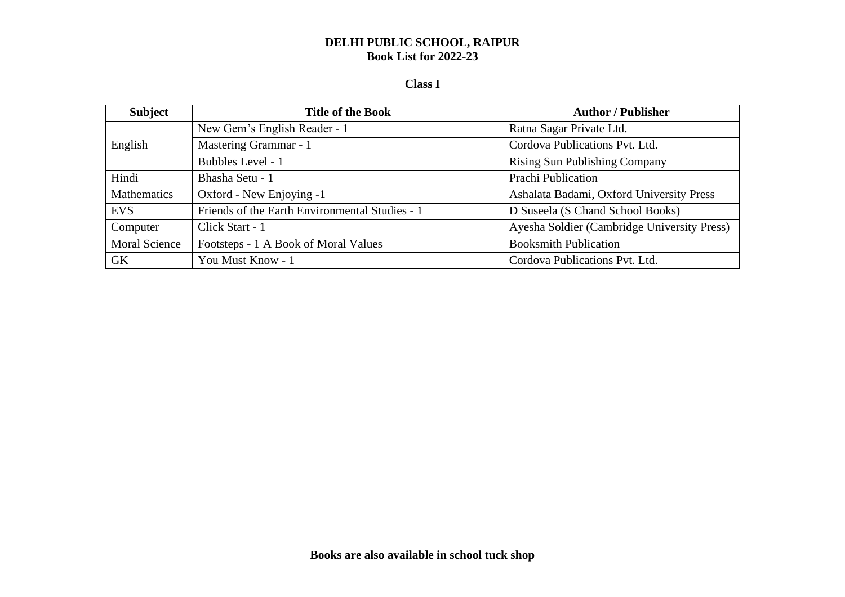#### **Class I**

| <b>Subject</b>       | <b>Title of the Book</b>                       | <b>Author / Publisher</b>                   |
|----------------------|------------------------------------------------|---------------------------------------------|
| English              | New Gem's English Reader - 1                   | Ratna Sagar Private Ltd.                    |
|                      | Mastering Grammar - 1                          | Cordova Publications Pvt. Ltd.              |
|                      | Bubbles Level - 1                              | <b>Rising Sun Publishing Company</b>        |
| Hindi                | Bhasha Setu - 1                                | Prachi Publication                          |
| Mathematics          | Oxford - New Enjoying -1                       | Ashalata Badami, Oxford University Press    |
| <b>EVS</b>           | Friends of the Earth Environmental Studies - 1 | D Suseela (S Chand School Books)            |
| Computer             | Click Start - 1                                | Ayesha Soldier (Cambridge University Press) |
| <b>Moral Science</b> | Footsteps - 1 A Book of Moral Values           | <b>Booksmith Publication</b>                |
| <b>GK</b>            | You Must Know - 1                              | Cordova Publications Pvt. Ltd.              |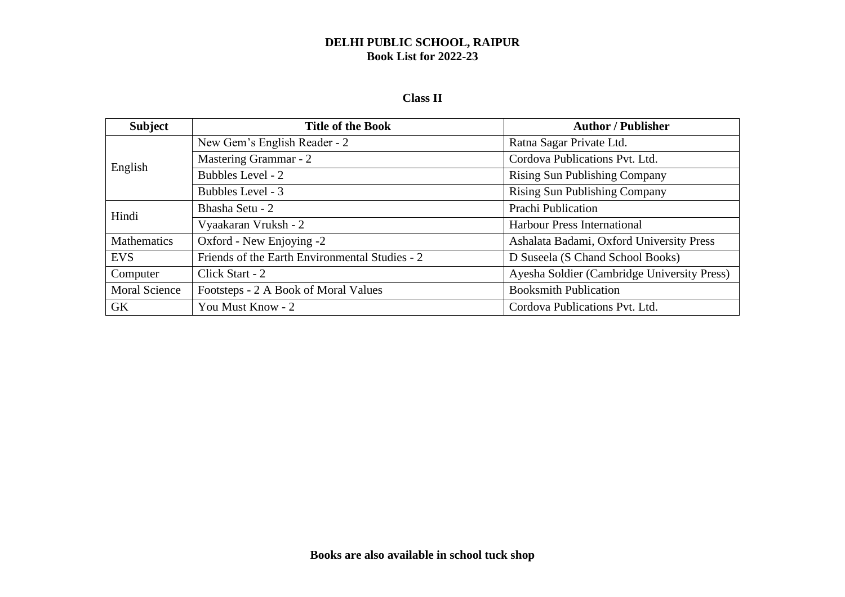### **Class II**

| <b>Subject</b>       | <b>Title of the Book</b>                       | <b>Author / Publisher</b>                   |
|----------------------|------------------------------------------------|---------------------------------------------|
| English              | New Gem's English Reader - 2                   | Ratna Sagar Private Ltd.                    |
|                      | Mastering Grammar - 2                          | Cordova Publications Pvt. Ltd.              |
|                      | Bubbles Level - 2                              | <b>Rising Sun Publishing Company</b>        |
|                      | Bubbles Level - 3                              | <b>Rising Sun Publishing Company</b>        |
| Hindi                | Bhasha Setu - 2                                | <b>Prachi Publication</b>                   |
|                      | Vyaakaran Vruksh - 2                           | <b>Harbour Press International</b>          |
| Mathematics          | Oxford - New Enjoying -2                       | Ashalata Badami, Oxford University Press    |
| <b>EVS</b>           | Friends of the Earth Environmental Studies - 2 | D Suseela (S Chand School Books)            |
| Computer             | Click Start - 2                                | Ayesha Soldier (Cambridge University Press) |
| <b>Moral Science</b> | Footsteps - 2 A Book of Moral Values           | <b>Booksmith Publication</b>                |
| <b>GK</b>            | You Must Know - 2                              | Cordova Publications Pvt. Ltd.              |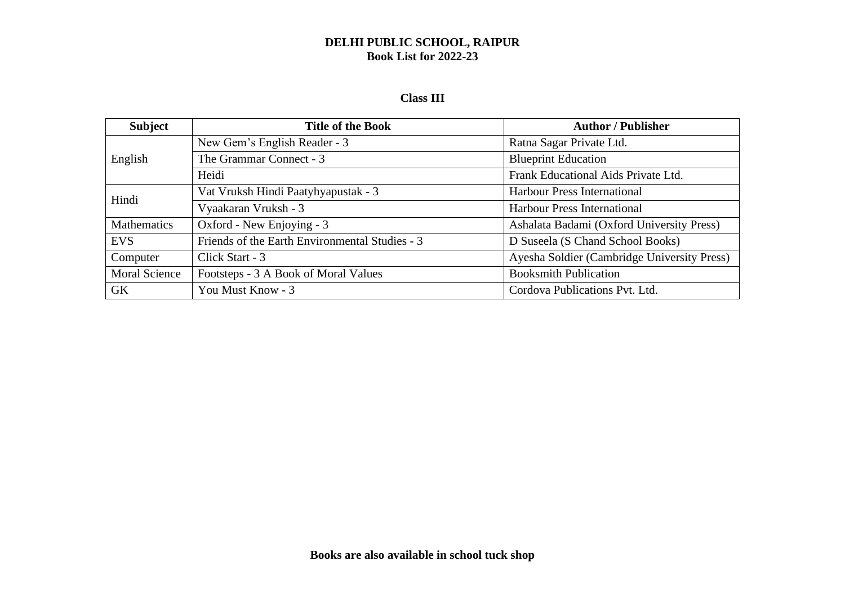#### **Class III**

| <b>Subject</b>       | <b>Title of the Book</b>                       | <b>Author / Publisher</b>                   |
|----------------------|------------------------------------------------|---------------------------------------------|
| English              | New Gem's English Reader - 3                   | Ratna Sagar Private Ltd.                    |
|                      | The Grammar Connect - 3                        | <b>Blueprint Education</b>                  |
|                      | Heidi                                          | Frank Educational Aids Private Ltd.         |
| Hindi                | Vat Vruksh Hindi Paatyhyapustak - 3            | <b>Harbour Press International</b>          |
|                      | Vyaakaran Vruksh - 3                           | <b>Harbour Press International</b>          |
| <b>Mathematics</b>   | Oxford - New Enjoying - 3                      | Ashalata Badami (Oxford University Press)   |
| <b>EVS</b>           | Friends of the Earth Environmental Studies - 3 | D Suseela (S Chand School Books)            |
| Computer             | Click Start - 3                                | Ayesha Soldier (Cambridge University Press) |
| <b>Moral Science</b> | Footsteps - 3 A Book of Moral Values           | <b>Booksmith Publication</b>                |
| GK                   | You Must Know - 3                              | Cordova Publications Pvt. Ltd.              |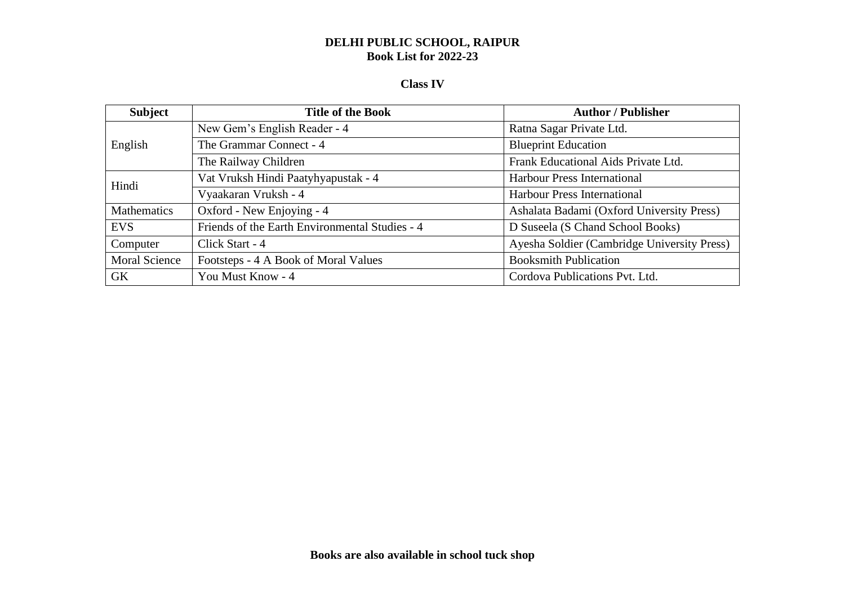# **Class IV**

| <b>Subject</b>       | <b>Title of the Book</b>                       | <b>Author / Publisher</b>                   |
|----------------------|------------------------------------------------|---------------------------------------------|
| English              | New Gem's English Reader - 4                   | Ratna Sagar Private Ltd.                    |
|                      | The Grammar Connect - 4                        | <b>Blueprint Education</b>                  |
|                      | The Railway Children                           | Frank Educational Aids Private Ltd.         |
| Hindi                | Vat Vruksh Hindi Paatyhyapustak - 4            | <b>Harbour Press International</b>          |
|                      | Vyaakaran Vruksh - 4                           | <b>Harbour Press International</b>          |
| Mathematics          | Oxford - New Enjoying - 4                      | Ashalata Badami (Oxford University Press)   |
| <b>EVS</b>           | Friends of the Earth Environmental Studies - 4 | D Suseela (S Chand School Books)            |
| Computer             | Click Start - 4                                | Ayesha Soldier (Cambridge University Press) |
| <b>Moral Science</b> | Footsteps - 4 A Book of Moral Values           | <b>Booksmith Publication</b>                |
| <b>GK</b>            | You Must Know - 4                              | Cordova Publications Pvt. Ltd.              |